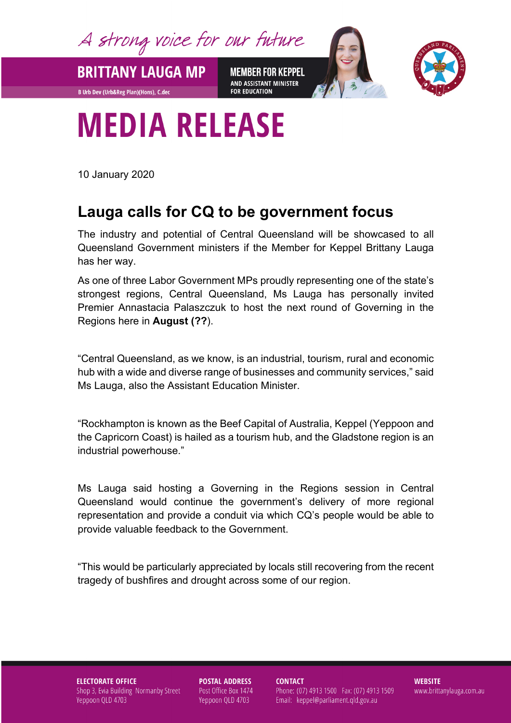A strong voice for our future

**BRITTANY LAUGA MP** 

**B Urb Dev (Urb&Reg Plan)(Hons), C.dec** 

**MEMBER FOR KEPPEL** AND ASSISTANT MINISTER **FOR EDUCATION** 



## **MEDIA RELEASE**

10 January 2020

## **Lauga calls for CQ to be government focus**

The industry and potential of Central Queensland will be showcased to all Queensland Government ministers if the Member for Keppel Brittany Lauga has her way.

As one of three Labor Government MPs proudly representing one of the state's strongest regions, Central Queensland, Ms Lauga has personally invited Premier Annastacia Palaszczuk to host the next round of Governing in the Regions here in **August (??**).

"Central Queensland, as we know, is an industrial, tourism, rural and economic hub with a wide and diverse range of businesses and community services," said Ms Lauga, also the Assistant Education Minister.

"Rockhampton is known as the Beef Capital of Australia, Keppel (Yeppoon and the Capricorn Coast) is hailed as a tourism hub, and the Gladstone region is an industrial powerhouse."

Ms Lauga said hosting a Governing in the Regions session in Central Queensland would continue the government's delivery of more regional representation and provide a conduit via which CQ's people would be able to provide valuable feedback to the Government.

"This would be particularly appreciated by locals still recovering from the recent tragedy of bushfires and drought across some of our region.

**ELECTORATE OFFICE** Shop 3, Evia Building Normanby Street Yeppoon QLD 4703

**POSTAL ADDRESS** Post Office Box 1474 Yeppoon QLD 4703

**CONTACT** 

Phone: (07) 4913 1500 Fax: (07) 4913 1509 Email: keppel@parliament.qld.gov.au

**WEBSITE** www.brittanylauga.com.au